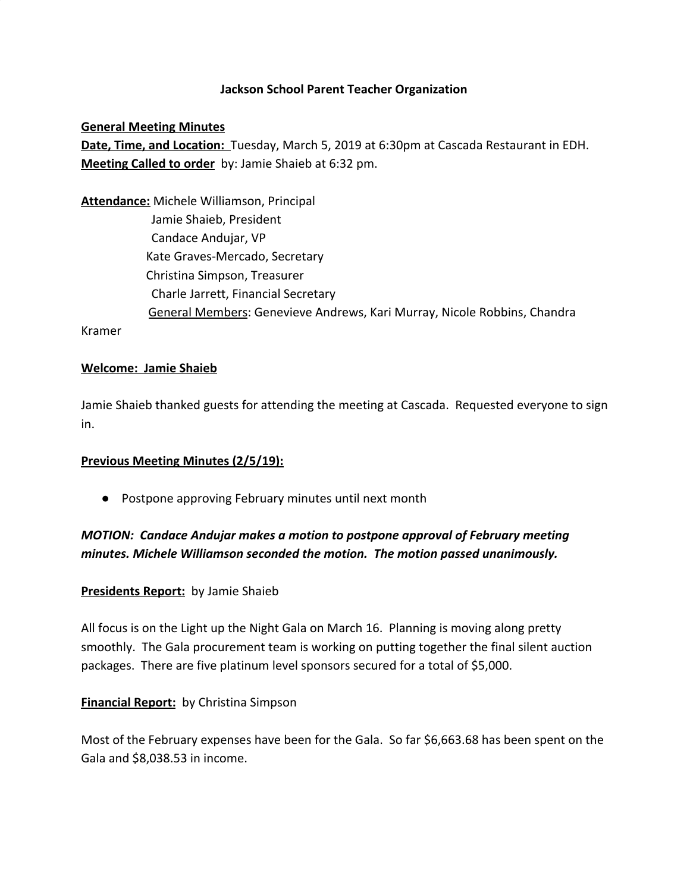### **Jackson School Parent Teacher Organization**

**General Meeting Minutes Date, Time, and Location:** Tuesday, March 5, 2019 at 6:30pm at Cascada Restaurant in EDH. **Meeting Called to order** by: Jamie Shaieb at 6:32 pm.

**Attendance:** Michele Williamson, Principal Jamie Shaieb, President Candace Andujar, VP Kate Graves-Mercado, Secretary Christina Simpson, Treasurer Charle Jarrett, Financial Secretary General Members: Genevieve Andrews, Kari Murray, Nicole Robbins, Chandra

Kramer

#### **Welcome: Jamie Shaieb**

Jamie Shaieb thanked guests for attending the meeting at Cascada. Requested everyone to sign in.

#### **Previous Meeting Minutes (2/5/19):**

● Postpone approving February minutes until next month

*MOTION: Candace Andujar makes a motion to postpone approval of February meeting minutes. Michele Williamson seconded the motion. The motion passed unanimously.*

#### **Presidents Report:** by Jamie Shaieb

All focus is on the Light up the Night Gala on March 16. Planning is moving along pretty smoothly. The Gala procurement team is working on putting together the final silent auction packages. There are five platinum level sponsors secured for a total of \$5,000.

#### **Financial Report:** by Christina Simpson

Most of the February expenses have been for the Gala. So far \$6,663.68 has been spent on the Gala and \$8,038.53 in income.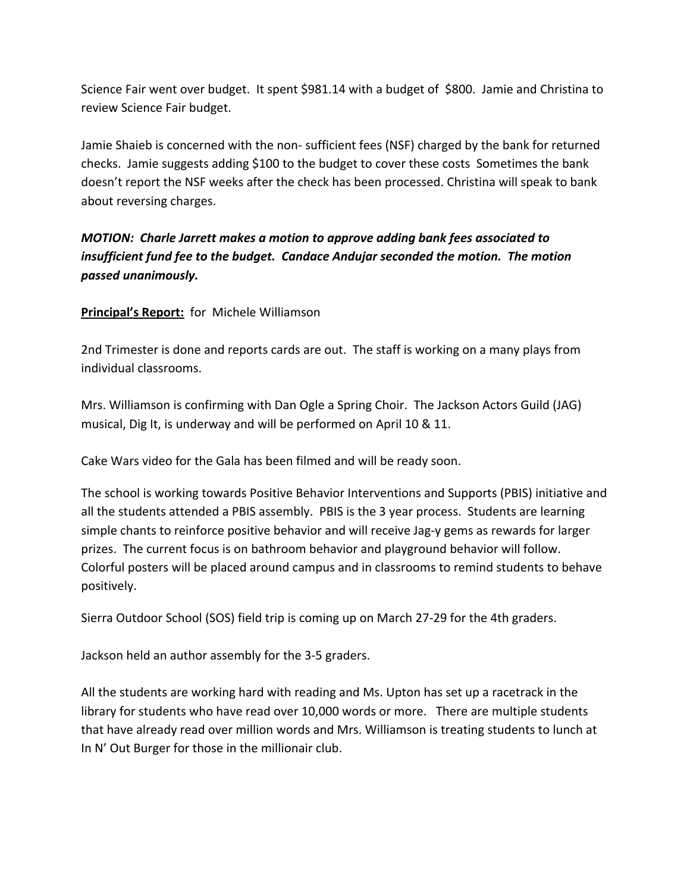Science Fair went over budget. It spent \$981.14 with a budget of \$800. Jamie and Christina to review Science Fair budget.

Jamie Shaieb is concerned with the non- sufficient fees (NSF) charged by the bank for returned checks. Jamie suggests adding \$100 to the budget to cover these costs Sometimes the bank doesn't report the NSF weeks after the check has been processed. Christina will speak to bank about reversing charges.

*MOTION: Charle Jarrett makes a motion to approve adding bank fees associated to insufficient fund fee to the budget. Candace Andujar seconded the motion. The motion passed unanimously.*

**Principal's Report:** for Michele Williamson

2nd Trimester is done and reports cards are out. The staff is working on a many plays from individual classrooms.

Mrs. Williamson is confirming with Dan Ogle a Spring Choir. The Jackson Actors Guild (JAG) musical, Dig It, is underway and will be performed on April 10 & 11.

Cake Wars video for the Gala has been filmed and will be ready soon.

The school is working towards Positive Behavior Interventions and Supports (PBIS) initiative and all the students attended a PBIS assembly. PBIS is the 3 year process. Students are learning simple chants to reinforce positive behavior and will receive Jag-y gems as rewards for larger prizes. The current focus is on bathroom behavior and playground behavior will follow. Colorful posters will be placed around campus and in classrooms to remind students to behave positively.

Sierra Outdoor School (SOS) field trip is coming up on March 27-29 for the 4th graders.

Jackson held an author assembly for the 3-5 graders.

All the students are working hard with reading and Ms. Upton has set up a racetrack in the library for students who have read over 10,000 words or more. There are multiple students that have already read over million words and Mrs. Williamson is treating students to lunch at In N' Out Burger for those in the millionair club.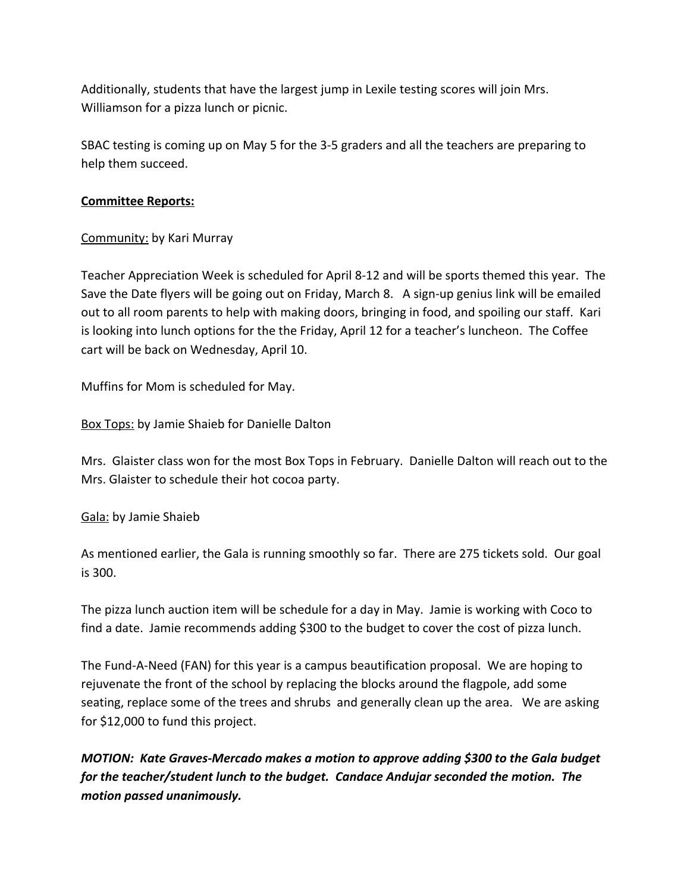Additionally, students that have the largest jump in Lexile testing scores will join Mrs. Williamson for a pizza lunch or picnic.

SBAC testing is coming up on May 5 for the 3-5 graders and all the teachers are preparing to help them succeed.

## **Committee Reports:**

# Community: by Kari Murray

Teacher Appreciation Week is scheduled for April 8-12 and will be sports themed this year. The Save the Date flyers will be going out on Friday, March 8. A sign-up genius link will be emailed out to all room parents to help with making doors, bringing in food, and spoiling our staff. Kari is looking into lunch options for the the Friday, April 12 for a teacher's luncheon. The Coffee cart will be back on Wednesday, April 10.

Muffins for Mom is scheduled for May.

Box Tops: by Jamie Shaieb for Danielle Dalton

Mrs. Glaister class won for the most Box Tops in February. Danielle Dalton will reach out to the Mrs. Glaister to schedule their hot cocoa party.

Gala: by Jamie Shaieb

As mentioned earlier, the Gala is running smoothly so far. There are 275 tickets sold. Our goal is 300.

The pizza lunch auction item will be schedule for a day in May. Jamie is working with Coco to find a date. Jamie recommends adding \$300 to the budget to cover the cost of pizza lunch.

The Fund-A-Need (FAN) for this year is a campus beautification proposal. We are hoping to rejuvenate the front of the school by replacing the blocks around the flagpole, add some seating, replace some of the trees and shrubs and generally clean up the area. We are asking for \$12,000 to fund this project.

*MOTION: Kate Graves-Mercado makes a motion to approve adding \$300 to the Gala budget for the teacher/student lunch to the budget. Candace Andujar seconded the motion. The motion passed unanimously.*